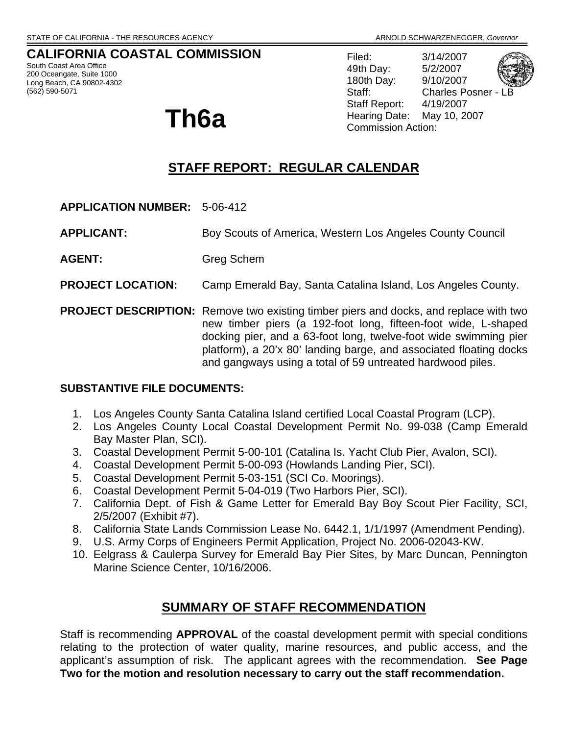## **CALIFORNIA COASTAL COMMISSION**

South Coast Area Office 200 Oceangate, Suite 1000 Long Beach, CA 90802-4302 (562) 590-5071

Filed: 3/14/2007 49th Day: 5/2/2007 180th Day: 9/10/2007 Staff: Charles Posner - L Staff Report: 4/19/2007 **Th6a Hearing Date:** May 10, 2007

# **STAFF REPORT: REGULAR CALENDAR**

- **APPLICATION NUMBER:** 5-06-412
- **APPLICANT:** Boy Scouts of America, Western Los Angeles County Council
- **AGENT:** Greg Schem
- **PROJECT LOCATION:** Camp Emerald Bay, Santa Catalina Island, Los Angeles County.
- **PROJECT DESCRIPTION:** Remove two existing timber piers and docks, and replace with two new timber piers (a 192-foot long, fifteen-foot wide, L-shaped docking pier, and a 63-foot long, twelve-foot wide swimming pier platform), a 20'x 80' landing barge, and associated floating docks and gangways using a total of 59 untreated hardwood piles.

## **SUBSTANTIVE FILE DOCUMENTS:**

- 1. Los Angeles County Santa Catalina Island certified Local Coastal Program (LCP).
- 2. Los Angeles County Local Coastal Development Permit No. 99-038 (Camp Emerald Bay Master Plan, SCI).
- 3. Coastal Development Permit 5-00-101 (Catalina Is. Yacht Club Pier, Avalon, SCI).
- 4. Coastal Development Permit 5-00-093 (Howlands Landing Pier, SCI).
- 5. Coastal Development Permit 5-03-151 (SCI Co. Moorings).
- 6. Coastal Development Permit 5-04-019 (Two Harbors Pier, SCI).
- 7. California Dept. of Fish & Game Letter for Emerald Bay Boy Scout Pier Facility, SCI, 2/5/2007 (Exhibit #7).
- 8. California State Lands Commission Lease No. 6442.1, 1/1/1997 (Amendment Pending).
- 9. U.S. Army Corps of Engineers Permit Application, Project No. 2006-02043-KW.
- 10. Eelgrass & Caulerpa Survey for Emerald Bay Pier Sites, by Marc Duncan, Pennington Marine Science Center, 10/16/2006.

## **SUMMARY OF STAFF RECOMMENDATION**

Staff is recommending **APPROVAL** of the coastal development permit with special conditions relating to the protection of water quality, marine resources, and public access, and the applicant's assumption of risk. The applicant agrees with the recommendation. **See Page Two for the motion and resolution necessary to carry out the staff recommendation.**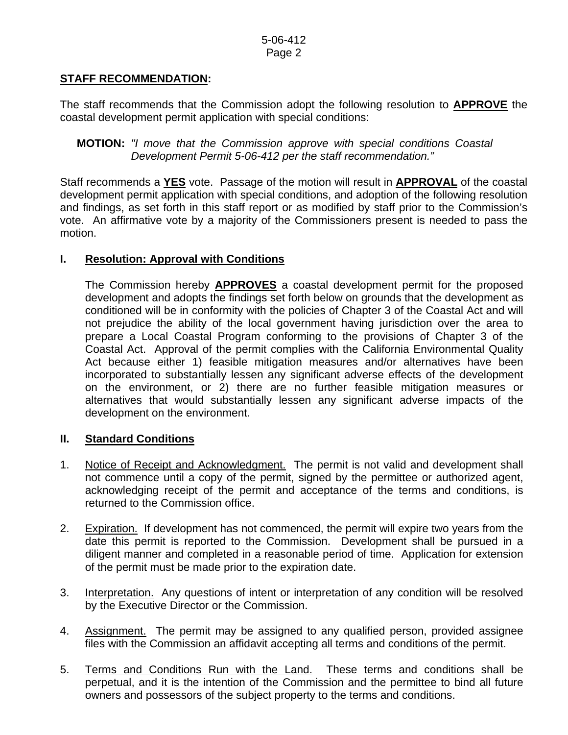## **STAFF RECOMMENDATION:**

The staff recommends that the Commission adopt the following resolution to **APPROVE** the coastal development permit application with special conditions:

**MOTION:** *"I move that the Commission approve with special conditions Coastal Development Permit 5-06-412 per the staff recommendation."* 

Staff recommends a **YES** vote. Passage of the motion will result in **APPROVAL** of the coastal development permit application with special conditions, and adoption of the following resolution and findings, as set forth in this staff report or as modified by staff prior to the Commission's vote. An affirmative vote by a majority of the Commissioners present is needed to pass the motion.

## **I. Resolution: Approval with Conditions**

The Commission hereby **APPROVES** a coastal development permit for the proposed development and adopts the findings set forth below on grounds that the development as conditioned will be in conformity with the policies of Chapter 3 of the Coastal Act and will not prejudice the ability of the local government having jurisdiction over the area to prepare a Local Coastal Program conforming to the provisions of Chapter 3 of the Coastal Act. Approval of the permit complies with the California Environmental Quality Act because either 1) feasible mitigation measures and/or alternatives have been incorporated to substantially lessen any significant adverse effects of the development on the environment, or 2) there are no further feasible mitigation measures or alternatives that would substantially lessen any significant adverse impacts of the development on the environment.

## **II. Standard Conditions**

- 1. Notice of Receipt and Acknowledgment. The permit is not valid and development shall not commence until a copy of the permit, signed by the permittee or authorized agent, acknowledging receipt of the permit and acceptance of the terms and conditions, is returned to the Commission office.
- 2. Expiration. If development has not commenced, the permit will expire two years from the date this permit is reported to the Commission. Development shall be pursued in a diligent manner and completed in a reasonable period of time. Application for extension of the permit must be made prior to the expiration date.
- 3. Interpretation. Any questions of intent or interpretation of any condition will be resolved by the Executive Director or the Commission.
- 4. Assignment. The permit may be assigned to any qualified person, provided assignee files with the Commission an affidavit accepting all terms and conditions of the permit.
- 5. Terms and Conditions Run with the Land. These terms and conditions shall be perpetual, and it is the intention of the Commission and the permittee to bind all future owners and possessors of the subject property to the terms and conditions.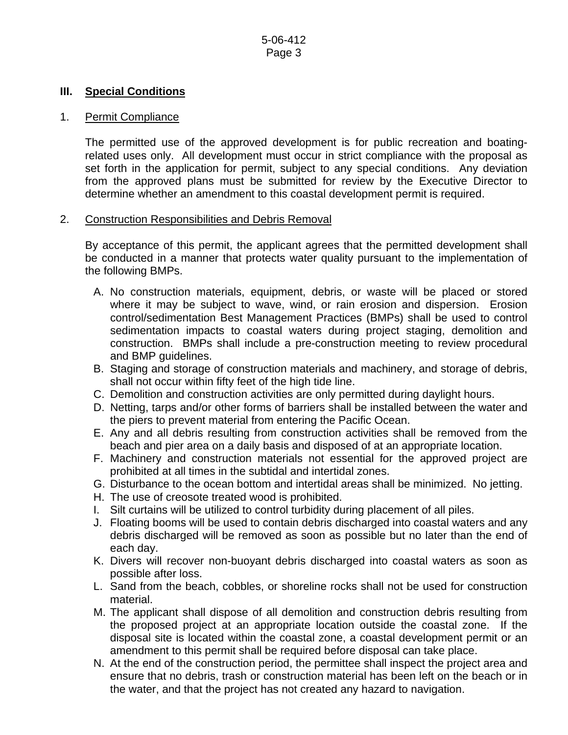#### **III. Special Conditions**

### 1. Permit Compliance

 The permitted use of the approved development is for public recreation and boatingrelated uses only. All development must occur in strict compliance with the proposal as set forth in the application for permit, subject to any special conditions. Any deviation from the approved plans must be submitted for review by the Executive Director to determine whether an amendment to this coastal development permit is required.

#### 2. Construction Responsibilities and Debris Removal

By acceptance of this permit, the applicant agrees that the permitted development shall be conducted in a manner that protects water quality pursuant to the implementation of the following BMPs.

- A. No construction materials, equipment, debris, or waste will be placed or stored where it may be subject to wave, wind, or rain erosion and dispersion. Erosion control/sedimentation Best Management Practices (BMPs) shall be used to control sedimentation impacts to coastal waters during project staging, demolition and construction. BMPs shall include a pre-construction meeting to review procedural and BMP guidelines.
- B. Staging and storage of construction materials and machinery, and storage of debris, shall not occur within fifty feet of the high tide line.
- C. Demolition and construction activities are only permitted during daylight hours.
- D. Netting, tarps and/or other forms of barriers shall be installed between the water and the piers to prevent material from entering the Pacific Ocean.
- E. Any and all debris resulting from construction activities shall be removed from the beach and pier area on a daily basis and disposed of at an appropriate location.
- F. Machinery and construction materials not essential for the approved project are prohibited at all times in the subtidal and intertidal zones.
- G. Disturbance to the ocean bottom and intertidal areas shall be minimized. No jetting.
- H. The use of creosote treated wood is prohibited.
- I. Silt curtains will be utilized to control turbidity during placement of all piles.
- J. Floating booms will be used to contain debris discharged into coastal waters and any debris discharged will be removed as soon as possible but no later than the end of each day.
- K. Divers will recover non-buoyant debris discharged into coastal waters as soon as possible after loss.
- L. Sand from the beach, cobbles, or shoreline rocks shall not be used for construction material.
- M. The applicant shall dispose of all demolition and construction debris resulting from the proposed project at an appropriate location outside the coastal zone. If the disposal site is located within the coastal zone, a coastal development permit or an amendment to this permit shall be required before disposal can take place.
- N. At the end of the construction period, the permittee shall inspect the project area and ensure that no debris, trash or construction material has been left on the beach or in the water, and that the project has not created any hazard to navigation.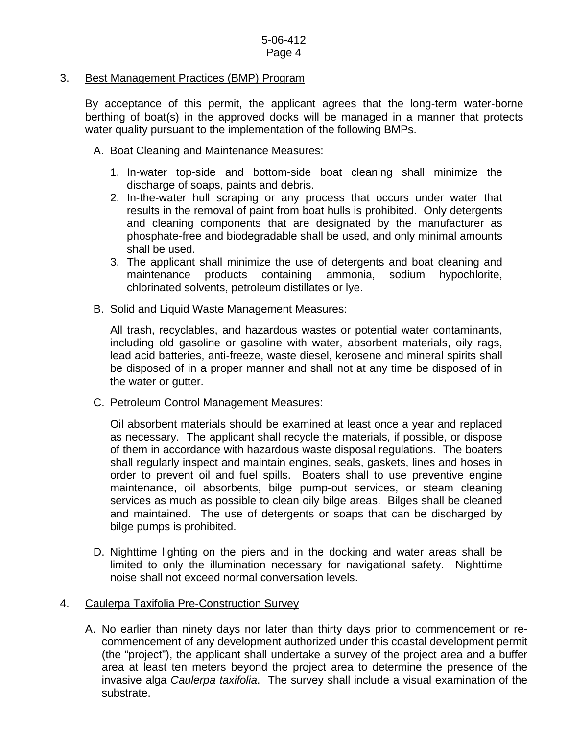### 3. Best Management Practices (BMP) Program

By acceptance of this permit, the applicant agrees that the long-term water-borne berthing of boat(s) in the approved docks will be managed in a manner that protects water quality pursuant to the implementation of the following BMPs.

- A. Boat Cleaning and Maintenance Measures:
	- 1. In-water top-side and bottom-side boat cleaning shall minimize the discharge of soaps, paints and debris.
	- 2. In-the-water hull scraping or any process that occurs under water that results in the removal of paint from boat hulls is prohibited. Only detergents and cleaning components that are designated by the manufacturer as phosphate-free and biodegradable shall be used, and only minimal amounts shall be used.
	- 3. The applicant shall minimize the use of detergents and boat cleaning and maintenance products containing ammonia, sodium hypochlorite, chlorinated solvents, petroleum distillates or lye.
- B. Solid and Liquid Waste Management Measures:

All trash, recyclables, and hazardous wastes or potential water contaminants, including old gasoline or gasoline with water, absorbent materials, oily rags, lead acid batteries, anti-freeze, waste diesel, kerosene and mineral spirits shall be disposed of in a proper manner and shall not at any time be disposed of in the water or gutter.

C. Petroleum Control Management Measures:

Oil absorbent materials should be examined at least once a year and replaced as necessary. The applicant shall recycle the materials, if possible, or dispose of them in accordance with hazardous waste disposal regulations. The boaters shall regularly inspect and maintain engines, seals, gaskets, lines and hoses in order to prevent oil and fuel spills. Boaters shall to use preventive engine maintenance, oil absorbents, bilge pump-out services, or steam cleaning services as much as possible to clean oily bilge areas. Bilges shall be cleaned and maintained. The use of detergents or soaps that can be discharged by bilge pumps is prohibited.

D. Nighttime lighting on the piers and in the docking and water areas shall be limited to only the illumination necessary for navigational safety. Nighttime noise shall not exceed normal conversation levels.

#### 4. Caulerpa Taxifolia Pre-Construction Survey

A. No earlier than ninety days nor later than thirty days prior to commencement or recommencement of any development authorized under this coastal development permit (the "project"), the applicant shall undertake a survey of the project area and a buffer area at least ten meters beyond the project area to determine the presence of the invasive alga *Caulerpa taxifolia*. The survey shall include a visual examination of the substrate.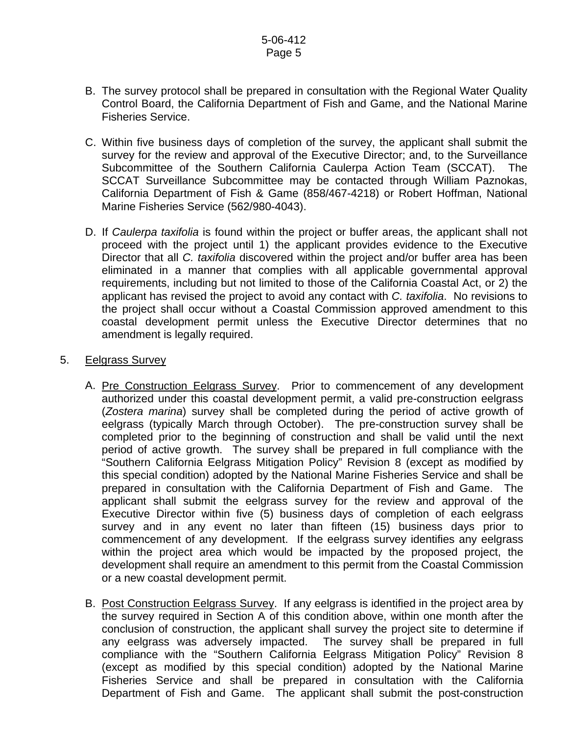- B. The survey protocol shall be prepared in consultation with the Regional Water Quality Control Board, the California Department of Fish and Game, and the National Marine Fisheries Service.
- C. Within five business days of completion of the survey, the applicant shall submit the survey for the review and approval of the Executive Director; and, to the Surveillance Subcommittee of the Southern California Caulerpa Action Team (SCCAT). The SCCAT Surveillance Subcommittee may be contacted through William Paznokas, California Department of Fish & Game (858/467-4218) or Robert Hoffman, National Marine Fisheries Service (562/980-4043).
- D. If *Caulerpa taxifolia* is found within the project or buffer areas, the applicant shall not proceed with the project until 1) the applicant provides evidence to the Executive Director that all *C. taxifolia* discovered within the project and/or buffer area has been eliminated in a manner that complies with all applicable governmental approval requirements, including but not limited to those of the California Coastal Act, or 2) the applicant has revised the project to avoid any contact with *C. taxifolia*. No revisions to the project shall occur without a Coastal Commission approved amendment to this coastal development permit unless the Executive Director determines that no amendment is legally required.

#### 5. Eelgrass Survey

- A. Pre Construction Eelgrass Survey. Prior to commencement of any development authorized under this coastal development permit, a valid pre-construction eelgrass (*Zostera marina*) survey shall be completed during the period of active growth of eelgrass (typically March through October). The pre-construction survey shall be completed prior to the beginning of construction and shall be valid until the next period of active growth. The survey shall be prepared in full compliance with the "Southern California Eelgrass Mitigation Policy" Revision 8 (except as modified by this special condition) adopted by the National Marine Fisheries Service and shall be prepared in consultation with the California Department of Fish and Game. The applicant shall submit the eelgrass survey for the review and approval of the Executive Director within five (5) business days of completion of each eelgrass survey and in any event no later than fifteen (15) business days prior to commencement of any development. If the eelgrass survey identifies any eelgrass within the project area which would be impacted by the proposed project, the development shall require an amendment to this permit from the Coastal Commission or a new coastal development permit.
- B. Post Construction Eelgrass Survey. If any eelgrass is identified in the project area by the survey required in Section A of this condition above, within one month after the conclusion of construction, the applicant shall survey the project site to determine if any eelgrass was adversely impacted. The survey shall be prepared in full compliance with the "Southern California Eelgrass Mitigation Policy" Revision 8 (except as modified by this special condition) adopted by the National Marine Fisheries Service and shall be prepared in consultation with the California Department of Fish and Game. The applicant shall submit the post-construction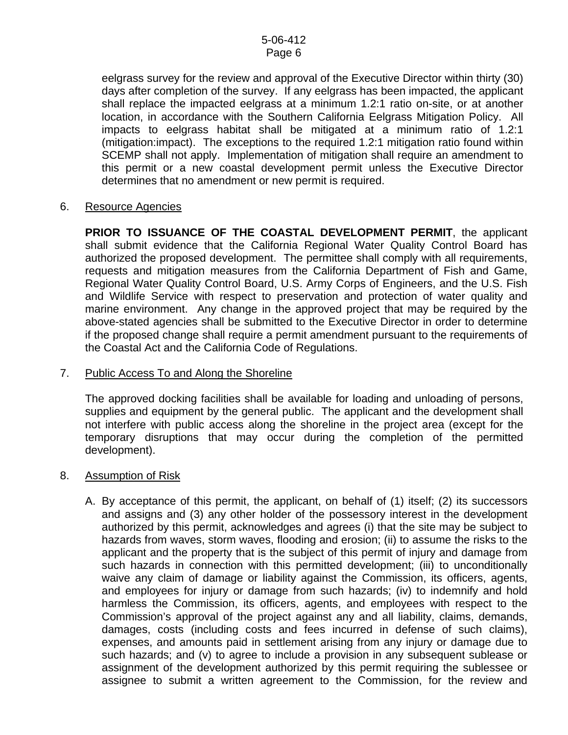eelgrass survey for the review and approval of the Executive Director within thirty (30) days after completion of the survey. If any eelgrass has been impacted, the applicant shall replace the impacted eelgrass at a minimum 1.2:1 ratio on-site, or at another location, in accordance with the Southern California Eelgrass Mitigation Policy. All impacts to eelgrass habitat shall be mitigated at a minimum ratio of 1.2:1 (mitigation:impact). The exceptions to the required 1.2:1 mitigation ratio found within SCEMP shall not apply. Implementation of mitigation shall require an amendment to this permit or a new coastal development permit unless the Executive Director determines that no amendment or new permit is required.

6. Resource Agencies

**PRIOR TO ISSUANCE OF THE COASTAL DEVELOPMENT PERMIT**, the applicant shall submit evidence that the California Regional Water Quality Control Board has authorized the proposed development. The permittee shall comply with all requirements, requests and mitigation measures from the California Department of Fish and Game, Regional Water Quality Control Board, U.S. Army Corps of Engineers, and the U.S. Fish and Wildlife Service with respect to preservation and protection of water quality and marine environment. Any change in the approved project that may be required by the above-stated agencies shall be submitted to the Executive Director in order to determine if the proposed change shall require a permit amendment pursuant to the requirements of the Coastal Act and the California Code of Regulations.

## 7. Public Access To and Along the Shoreline

The approved docking facilities shall be available for loading and unloading of persons, supplies and equipment by the general public. The applicant and the development shall not interfere with public access along the shoreline in the project area (except for the temporary disruptions that may occur during the completion of the permitted development).

- 8. Assumption of Risk
	- A. By acceptance of this permit, the applicant, on behalf of (1) itself; (2) its successors and assigns and (3) any other holder of the possessory interest in the development authorized by this permit, acknowledges and agrees (i) that the site may be subject to hazards from waves, storm waves, flooding and erosion; (ii) to assume the risks to the applicant and the property that is the subject of this permit of injury and damage from such hazards in connection with this permitted development; (iii) to unconditionally waive any claim of damage or liability against the Commission, its officers, agents, and employees for injury or damage from such hazards; (iv) to indemnify and hold harmless the Commission, its officers, agents, and employees with respect to the Commission's approval of the project against any and all liability, claims, demands, damages, costs (including costs and fees incurred in defense of such claims), expenses, and amounts paid in settlement arising from any injury or damage due to such hazards; and (v) to agree to include a provision in any subsequent sublease or assignment of the development authorized by this permit requiring the sublessee or assignee to submit a written agreement to the Commission, for the review and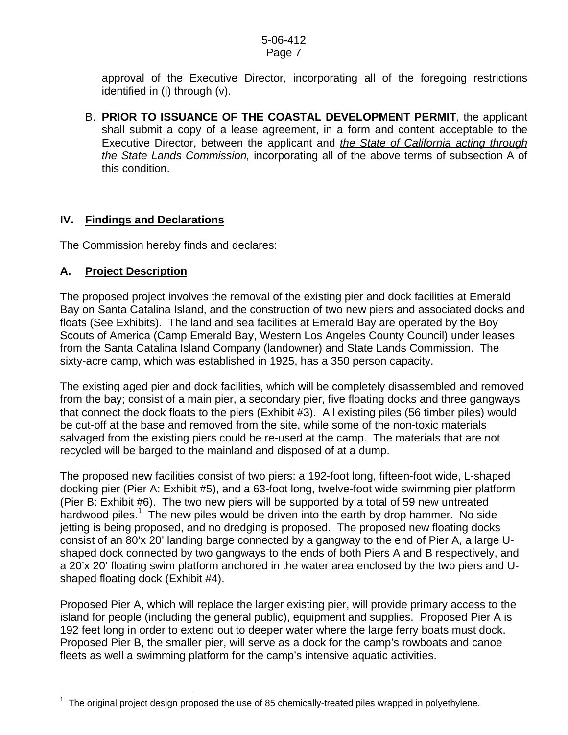approval of the Executive Director, incorporating all of the foregoing restrictions identified in (i) through (v).

B. **PRIOR TO ISSUANCE OF THE COASTAL DEVELOPMENT PERMIT**, the applicant shall submit a copy of a lease agreement, in a form and content acceptable to the Executive Director, between the applicant and *the State of California acting through the State Lands Commission,* incorporating all of the above terms of subsection A of this condition.

## **IV. Findings and Declarations**

The Commission hereby finds and declares:

## **A. Project Description**

 $\overline{a}$ 

The proposed project involves the removal of the existing pier and dock facilities at Emerald Bay on Santa Catalina Island, and the construction of two new piers and associated docks and floats (See Exhibits). The land and sea facilities at Emerald Bay are operated by the Boy Scouts of America (Camp Emerald Bay, Western Los Angeles County Council) under leases from the Santa Catalina Island Company (landowner) and State Lands Commission. The sixty-acre camp, which was established in 1925, has a 350 person capacity.

The existing aged pier and dock facilities, which will be completely disassembled and removed from the bay; consist of a main pier, a secondary pier, five floating docks and three gangways that connect the dock floats to the piers (Exhibit #3). All existing piles (56 timber piles) would be cut-off at the base and removed from the site, while some of the non-toxic materials salvaged from the existing piers could be re-used at the camp. The materials that are not recycled will be barged to the mainland and disposed of at a dump.

The proposed new facilities consist of two piers: a 192-foot long, fifteen-foot wide, L-shaped docking pier (Pier A: Exhibit #5), and a 63-foot long, twelve-foot wide swimming pier platform (Pier B: Exhibit #6). The two new piers will be supported by a total of 59 new untreated hardwood piles.<sup>[1](#page-6-0)</sup> The new piles would be driven into the earth by drop hammer. No side jetting is being proposed, and no dredging is proposed. The proposed new floating docks consist of an 80'x 20' landing barge connected by a gangway to the end of Pier A, a large Ushaped dock connected by two gangways to the ends of both Piers A and B respectively, and a 20'x 20' floating swim platform anchored in the water area enclosed by the two piers and Ushaped floating dock (Exhibit #4).

Proposed Pier A, which will replace the larger existing pier, will provide primary access to the island for people (including the general public), equipment and supplies. Proposed Pier A is 192 feet long in order to extend out to deeper water where the large ferry boats must dock. Proposed Pier B, the smaller pier, will serve as a dock for the camp's rowboats and canoe fleets as well a swimming platform for the camp's intensive aquatic activities.

<span id="page-6-0"></span><sup>1</sup> The original project design proposed the use of 85 chemically-treated piles wrapped in polyethylene.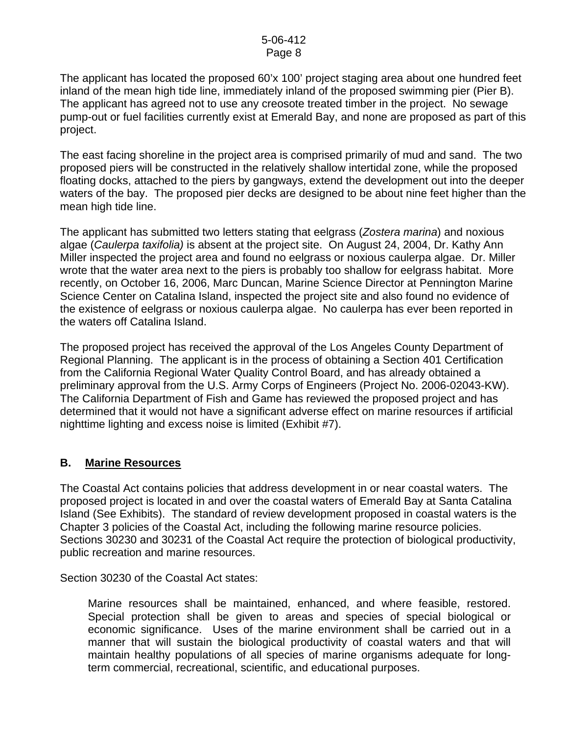The applicant has located the proposed 60'x 100' project staging area about one hundred feet inland of the mean high tide line, immediately inland of the proposed swimming pier (Pier B). The applicant has agreed not to use any creosote treated timber in the project. No sewage pump-out or fuel facilities currently exist at Emerald Bay, and none are proposed as part of this project.

The east facing shoreline in the project area is comprised primarily of mud and sand. The two proposed piers will be constructed in the relatively shallow intertidal zone, while the proposed floating docks, attached to the piers by gangways, extend the development out into the deeper waters of the bay. The proposed pier decks are designed to be about nine feet higher than the mean high tide line.

The applicant has submitted two letters stating that eelgrass (*Zostera marina*) and noxious algae (*Caulerpa taxifolia)* is absent at the project site. On August 24, 2004, Dr. Kathy Ann Miller inspected the project area and found no eelgrass or noxious caulerpa algae. Dr. Miller wrote that the water area next to the piers is probably too shallow for eelgrass habitat. More recently, on October 16, 2006, Marc Duncan, Marine Science Director at Pennington Marine Science Center on Catalina Island, inspected the project site and also found no evidence of the existence of eelgrass or noxious caulerpa algae. No caulerpa has ever been reported in the waters off Catalina Island.

The proposed project has received the approval of the Los Angeles County Department of Regional Planning. The applicant is in the process of obtaining a Section 401 Certification from the California Regional Water Quality Control Board, and has already obtained a preliminary approval from the U.S. Army Corps of Engineers (Project No. 2006-02043-KW). The California Department of Fish and Game has reviewed the proposed project and has determined that it would not have a significant adverse effect on marine resources if artificial nighttime lighting and excess noise is limited (Exhibit #7).

## **B. Marine Resources**

The Coastal Act contains policies that address development in or near coastal waters. The proposed project is located in and over the coastal waters of Emerald Bay at Santa Catalina Island (See Exhibits). The standard of review development proposed in coastal waters is the Chapter 3 policies of the Coastal Act, including the following marine resource policies. Sections 30230 and 30231 of the Coastal Act require the protection of biological productivity, public recreation and marine resources.

Section 30230 of the Coastal Act states:

 Marine resources shall be maintained, enhanced, and where feasible, restored. Special protection shall be given to areas and species of special biological or economic significance. Uses of the marine environment shall be carried out in a manner that will sustain the biological productivity of coastal waters and that will maintain healthy populations of all species of marine organisms adequate for longterm commercial, recreational, scientific, and educational purposes.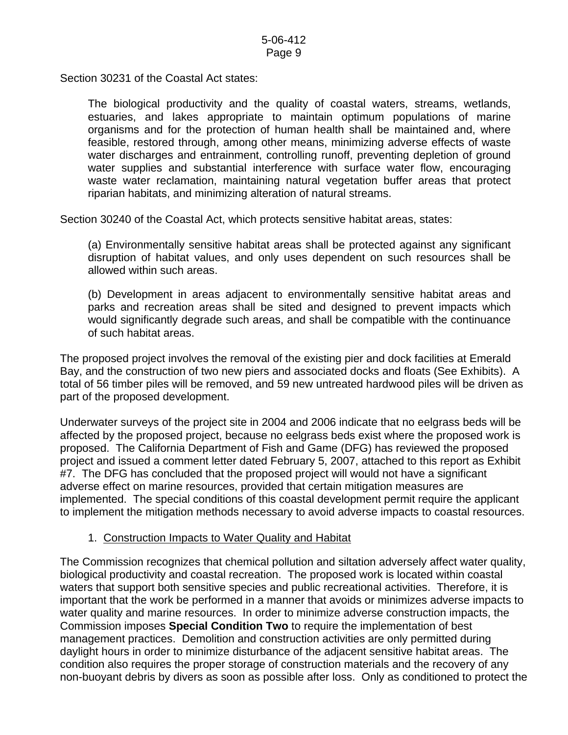Section 30231 of the Coastal Act states:

 The biological productivity and the quality of coastal waters, streams, wetlands, estuaries, and lakes appropriate to maintain optimum populations of marine organisms and for the protection of human health shall be maintained and, where feasible, restored through, among other means, minimizing adverse effects of waste water discharges and entrainment, controlling runoff, preventing depletion of ground water supplies and substantial interference with surface water flow, encouraging waste water reclamation, maintaining natural vegetation buffer areas that protect riparian habitats, and minimizing alteration of natural streams.

Section 30240 of the Coastal Act, which protects sensitive habitat areas, states:

(a) Environmentally sensitive habitat areas shall be protected against any significant disruption of habitat values, and only uses dependent on such resources shall be allowed within such areas.

(b) Development in areas adjacent to environmentally sensitive habitat areas and parks and recreation areas shall be sited and designed to prevent impacts which would significantly degrade such areas, and shall be compatible with the continuance of such habitat areas.

The proposed project involves the removal of the existing pier and dock facilities at Emerald Bay, and the construction of two new piers and associated docks and floats (See Exhibits). A total of 56 timber piles will be removed, and 59 new untreated hardwood piles will be driven as part of the proposed development.

Underwater surveys of the project site in 2004 and 2006 indicate that no eelgrass beds will be affected by the proposed project, because no eelgrass beds exist where the proposed work is proposed. The California Department of Fish and Game (DFG) has reviewed the proposed project and issued a comment letter dated February 5, 2007, attached to this report as Exhibit #7. The DFG has concluded that the proposed project will would not have a significant adverse effect on marine resources, provided that certain mitigation measures are implemented. The special conditions of this coastal development permit require the applicant to implement the mitigation methods necessary to avoid adverse impacts to coastal resources.

#### 1. Construction Impacts to Water Quality and Habitat

The Commission recognizes that chemical pollution and siltation adversely affect water quality, biological productivity and coastal recreation. The proposed work is located within coastal waters that support both sensitive species and public recreational activities. Therefore, it is important that the work be performed in a manner that avoids or minimizes adverse impacts to water quality and marine resources. In order to minimize adverse construction impacts, the Commission imposes **Special Condition Two** to require the implementation of best management practices. Demolition and construction activities are only permitted during daylight hours in order to minimize disturbance of the adjacent sensitive habitat areas. The condition also requires the proper storage of construction materials and the recovery of any non-buoyant debris by divers as soon as possible after loss. Only as conditioned to protect the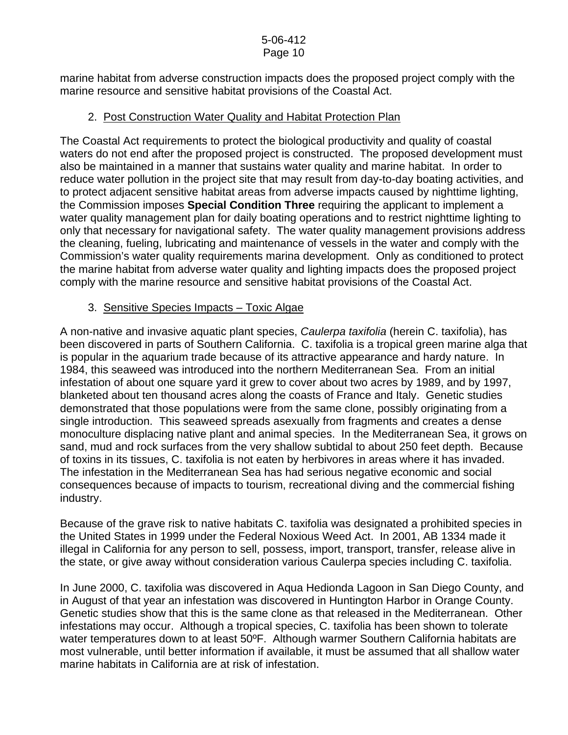marine habitat from adverse construction impacts does the proposed project comply with the marine resource and sensitive habitat provisions of the Coastal Act.

## 2. Post Construction Water Quality and Habitat Protection Plan

The Coastal Act requirements to protect the biological productivity and quality of coastal waters do not end after the proposed project is constructed. The proposed development must also be maintained in a manner that sustains water quality and marine habitat. In order to reduce water pollution in the project site that may result from day-to-day boating activities, and to protect adjacent sensitive habitat areas from adverse impacts caused by nighttime lighting, the Commission imposes **Special Condition Three** requiring the applicant to implement a water quality management plan for daily boating operations and to restrict nighttime lighting to only that necessary for navigational safety. The water quality management provisions address the cleaning, fueling, lubricating and maintenance of vessels in the water and comply with the Commission's water quality requirements marina development. Only as conditioned to protect the marine habitat from adverse water quality and lighting impacts does the proposed project comply with the marine resource and sensitive habitat provisions of the Coastal Act.

## 3. Sensitive Species Impacts – Toxic Algae

A non-native and invasive aquatic plant species, *Caulerpa taxifolia* (herein C. taxifolia), has been discovered in parts of Southern California. C. taxifolia is a tropical green marine alga that is popular in the aquarium trade because of its attractive appearance and hardy nature. In 1984, this seaweed was introduced into the northern Mediterranean Sea. From an initial infestation of about one square yard it grew to cover about two acres by 1989, and by 1997, blanketed about ten thousand acres along the coasts of France and Italy. Genetic studies demonstrated that those populations were from the same clone, possibly originating from a single introduction. This seaweed spreads asexually from fragments and creates a dense monoculture displacing native plant and animal species. In the Mediterranean Sea, it grows on sand, mud and rock surfaces from the very shallow subtidal to about 250 feet depth. Because of toxins in its tissues, C. taxifolia is not eaten by herbivores in areas where it has invaded. The infestation in the Mediterranean Sea has had serious negative economic and social consequences because of impacts to tourism, recreational diving and the commercial fishing industry.

Because of the grave risk to native habitats C. taxifolia was designated a prohibited species in the United States in 1999 under the Federal Noxious Weed Act. In 2001, AB 1334 made it illegal in California for any person to sell, possess, import, transport, transfer, release alive in the state, or give away without consideration various Caulerpa species including C. taxifolia.

In June 2000, C. taxifolia was discovered in Aqua Hedionda Lagoon in San Diego County, and in August of that year an infestation was discovered in Huntington Harbor in Orange County. Genetic studies show that this is the same clone as that released in the Mediterranean. Other infestations may occur. Although a tropical species, C. taxifolia has been shown to tolerate water temperatures down to at least 50°F. Although warmer Southern California habitats are most vulnerable, until better information if available, it must be assumed that all shallow water marine habitats in California are at risk of infestation.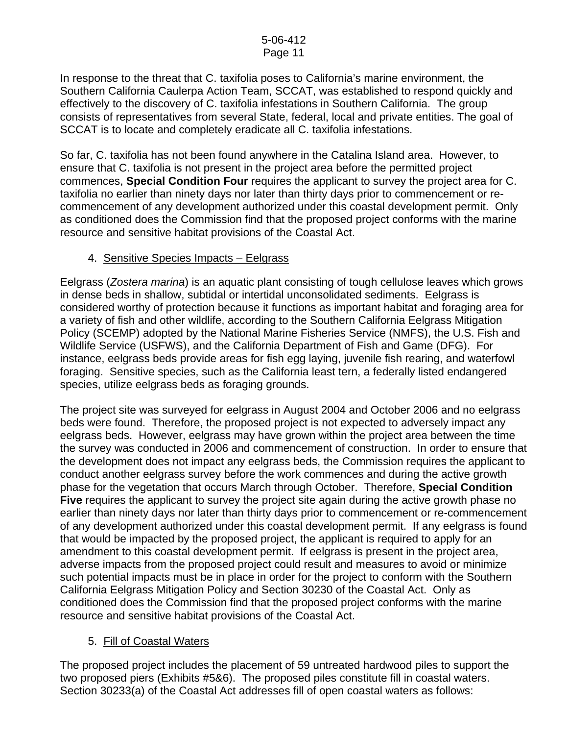In response to the threat that C. taxifolia poses to California's marine environment, the Southern California Caulerpa Action Team, SCCAT, was established to respond quickly and effectively to the discovery of C. taxifolia infestations in Southern California. The group consists of representatives from several State, federal, local and private entities. The goal of SCCAT is to locate and completely eradicate all C. taxifolia infestations.

So far, C. taxifolia has not been found anywhere in the Catalina Island area. However, to ensure that C. taxifolia is not present in the project area before the permitted project commences, **Special Condition Four** requires the applicant to survey the project area for C. taxifolia no earlier than ninety days nor later than thirty days prior to commencement or recommencement of any development authorized under this coastal development permit. Only as conditioned does the Commission find that the proposed project conforms with the marine resource and sensitive habitat provisions of the Coastal Act.

## 4. Sensitive Species Impacts – Eelgrass

Eelgrass (*Zostera marina*) is an aquatic plant consisting of tough cellulose leaves which grows in dense beds in shallow, subtidal or intertidal unconsolidated sediments. Eelgrass is considered worthy of protection because it functions as important habitat and foraging area for a variety of fish and other wildlife, according to the Southern California Eelgrass Mitigation Policy (SCEMP) adopted by the National Marine Fisheries Service (NMFS), the U.S. Fish and Wildlife Service (USFWS), and the California Department of Fish and Game (DFG). For instance, eelgrass beds provide areas for fish egg laying, juvenile fish rearing, and waterfowl foraging. Sensitive species, such as the California least tern, a federally listed endangered species, utilize eelgrass beds as foraging grounds.

The project site was surveyed for eelgrass in August 2004 and October 2006 and no eelgrass beds were found. Therefore, the proposed project is not expected to adversely impact any eelgrass beds. However, eelgrass may have grown within the project area between the time the survey was conducted in 2006 and commencement of construction. In order to ensure that the development does not impact any eelgrass beds, the Commission requires the applicant to conduct another eelgrass survey before the work commences and during the active growth phase for the vegetation that occurs March through October. Therefore, **Special Condition Five** requires the applicant to survey the project site again during the active growth phase no earlier than ninety days nor later than thirty days prior to commencement or re-commencement of any development authorized under this coastal development permit. If any eelgrass is found that would be impacted by the proposed project, the applicant is required to apply for an amendment to this coastal development permit. If eelgrass is present in the project area, adverse impacts from the proposed project could result and measures to avoid or minimize such potential impacts must be in place in order for the project to conform with the Southern California Eelgrass Mitigation Policy and Section 30230 of the Coastal Act. Only as conditioned does the Commission find that the proposed project conforms with the marine resource and sensitive habitat provisions of the Coastal Act.

## 5. Fill of Coastal Waters

The proposed project includes the placement of 59 untreated hardwood piles to support the two proposed piers (Exhibits #5&6). The proposed piles constitute fill in coastal waters. Section 30233(a) of the Coastal Act addresses fill of open coastal waters as follows: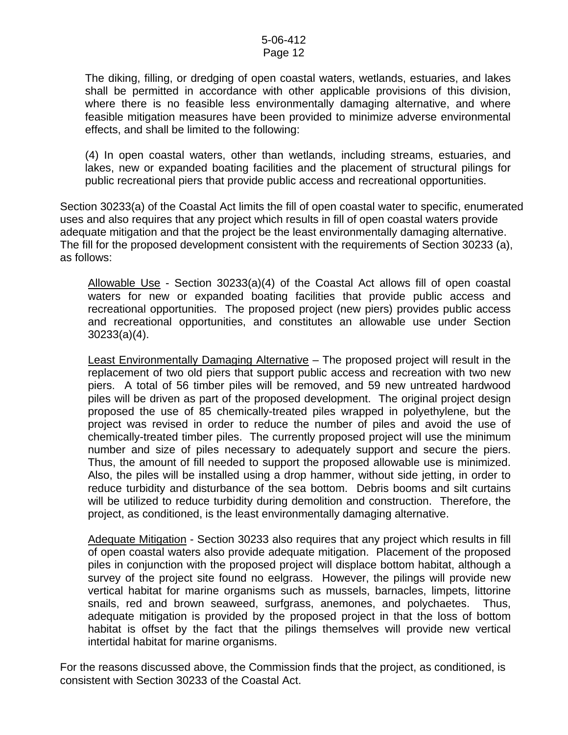The diking, filling, or dredging of open coastal waters, wetlands, estuaries, and lakes shall be permitted in accordance with other applicable provisions of this division, where there is no feasible less environmentally damaging alternative, and where feasible mitigation measures have been provided to minimize adverse environmental effects, and shall be limited to the following:

(4) In open coastal waters, other than wetlands, including streams, estuaries, and lakes, new or expanded boating facilities and the placement of structural pilings for public recreational piers that provide public access and recreational opportunities.

Section 30233(a) of the Coastal Act limits the fill of open coastal water to specific, enumerated uses and also requires that any project which results in fill of open coastal waters provide adequate mitigation and that the project be the least environmentally damaging alternative. The fill for the proposed development consistent with the requirements of Section 30233 (a), as follows:

Allowable Use - Section 30233(a)(4) of the Coastal Act allows fill of open coastal waters for new or expanded boating facilities that provide public access and recreational opportunities. The proposed project (new piers) provides public access and recreational opportunities, and constitutes an allowable use under Section 30233(a)(4).

Least Environmentally Damaging Alternative – The proposed project will result in the replacement of two old piers that support public access and recreation with two new piers. A total of 56 timber piles will be removed, and 59 new untreated hardwood piles will be driven as part of the proposed development. The original project design proposed the use of 85 chemically-treated piles wrapped in polyethylene, but the project was revised in order to reduce the number of piles and avoid the use of chemically-treated timber piles. The currently proposed project will use the minimum number and size of piles necessary to adequately support and secure the piers. Thus, the amount of fill needed to support the proposed allowable use is minimized. Also, the piles will be installed using a drop hammer, without side jetting, in order to reduce turbidity and disturbance of the sea bottom. Debris booms and silt curtains will be utilized to reduce turbidity during demolition and construction. Therefore, the project, as conditioned, is the least environmentally damaging alternative.

Adequate Mitigation - Section 30233 also requires that any project which results in fill of open coastal waters also provide adequate mitigation. Placement of the proposed piles in conjunction with the proposed project will displace bottom habitat, although a survey of the project site found no eelgrass. However, the pilings will provide new vertical habitat for marine organisms such as mussels, barnacles, limpets, littorine snails, red and brown seaweed, surfgrass, anemones, and polychaetes. Thus, adequate mitigation is provided by the proposed project in that the loss of bottom habitat is offset by the fact that the pilings themselves will provide new vertical intertidal habitat for marine organisms.

For the reasons discussed above, the Commission finds that the project, as conditioned, is consistent with Section 30233 of the Coastal Act.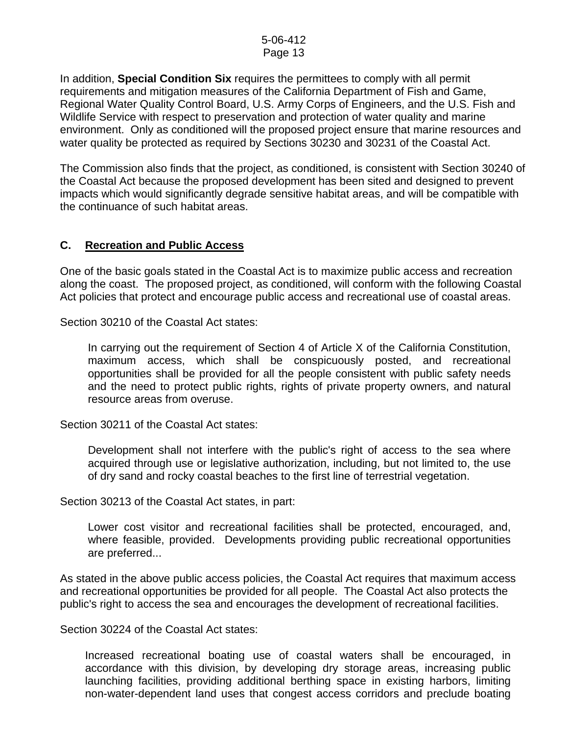In addition, **Special Condition Six** requires the permittees to comply with all permit requirements and mitigation measures of the California Department of Fish and Game, Regional Water Quality Control Board, U.S. Army Corps of Engineers, and the U.S. Fish and Wildlife Service with respect to preservation and protection of water quality and marine environment. Only as conditioned will the proposed project ensure that marine resources and water quality be protected as required by Sections 30230 and 30231 of the Coastal Act.

The Commission also finds that the project, as conditioned, is consistent with Section 30240 of the Coastal Act because the proposed development has been sited and designed to prevent impacts which would significantly degrade sensitive habitat areas, and will be compatible with the continuance of such habitat areas.

## **C. Recreation and Public Access**

One of the basic goals stated in the Coastal Act is to maximize public access and recreation along the coast. The proposed project, as conditioned, will conform with the following Coastal Act policies that protect and encourage public access and recreational use of coastal areas.

Section 30210 of the Coastal Act states:

In carrying out the requirement of Section 4 of Article X of the California Constitution. maximum access, which shall be conspicuously posted, and recreational opportunities shall be provided for all the people consistent with public safety needs and the need to protect public rights, rights of private property owners, and natural resource areas from overuse.

Section 30211 of the Coastal Act states:

 Development shall not interfere with the public's right of access to the sea where acquired through use or legislative authorization, including, but not limited to, the use of dry sand and rocky coastal beaches to the first line of terrestrial vegetation.

Section 30213 of the Coastal Act states, in part:

 Lower cost visitor and recreational facilities shall be protected, encouraged, and, where feasible, provided. Developments providing public recreational opportunities are preferred...

As stated in the above public access policies, the Coastal Act requires that maximum access and recreational opportunities be provided for all people. The Coastal Act also protects the public's right to access the sea and encourages the development of recreational facilities.

Section 30224 of the Coastal Act states:

Increased recreational boating use of coastal waters shall be encouraged, in accordance with this division, by developing dry storage areas, increasing public launching facilities, providing additional berthing space in existing harbors, limiting non-water-dependent land uses that congest access corridors and preclude boating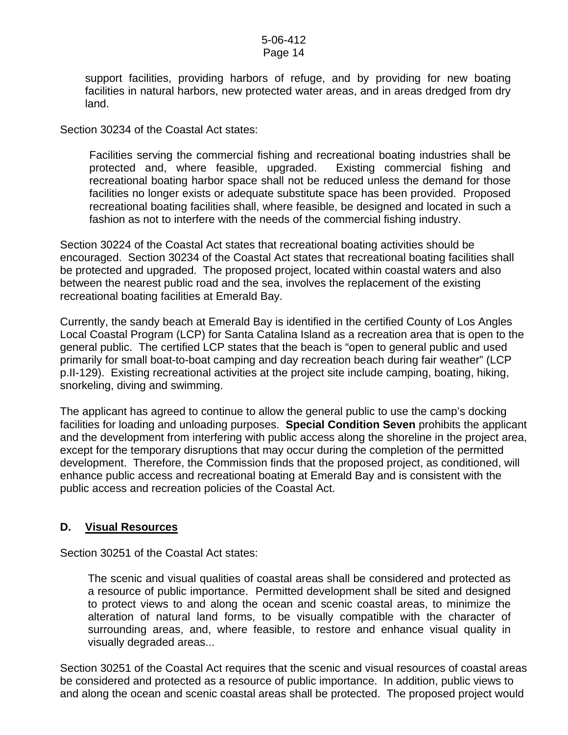support facilities, providing harbors of refuge, and by providing for new boating facilities in natural harbors, new protected water areas, and in areas dredged from dry land.

Section 30234 of the Coastal Act states:

Facilities serving the commercial fishing and recreational boating industries shall be protected and, where feasible, upgraded. Existing commercial fishing and recreational boating harbor space shall not be reduced unless the demand for those facilities no longer exists or adequate substitute space has been provided. Proposed recreational boating facilities shall, where feasible, be designed and located in such a fashion as not to interfere with the needs of the commercial fishing industry.

Section 30224 of the Coastal Act states that recreational boating activities should be encouraged. Section 30234 of the Coastal Act states that recreational boating facilities shall be protected and upgraded. The proposed project, located within coastal waters and also between the nearest public road and the sea, involves the replacement of the existing recreational boating facilities at Emerald Bay.

Currently, the sandy beach at Emerald Bay is identified in the certified County of Los Angles Local Coastal Program (LCP) for Santa Catalina Island as a recreation area that is open to the general public. The certified LCP states that the beach is "open to general public and used primarily for small boat-to-boat camping and day recreation beach during fair weather" (LCP p.II-129). Existing recreational activities at the project site include camping, boating, hiking, snorkeling, diving and swimming.

The applicant has agreed to continue to allow the general public to use the camp's docking facilities for loading and unloading purposes. **Special Condition Seven** prohibits the applicant and the development from interfering with public access along the shoreline in the project area, except for the temporary disruptions that may occur during the completion of the permitted development. Therefore, the Commission finds that the proposed project, as conditioned, will enhance public access and recreational boating at Emerald Bay and is consistent with the public access and recreation policies of the Coastal Act.

## **D. Visual Resources**

Section 30251 of the Coastal Act states:

 The scenic and visual qualities of coastal areas shall be considered and protected as a resource of public importance. Permitted development shall be sited and designed to protect views to and along the ocean and scenic coastal areas, to minimize the alteration of natural land forms, to be visually compatible with the character of surrounding areas, and, where feasible, to restore and enhance visual quality in visually degraded areas...

Section 30251 of the Coastal Act requires that the scenic and visual resources of coastal areas be considered and protected as a resource of public importance. In addition, public views to and along the ocean and scenic coastal areas shall be protected. The proposed project would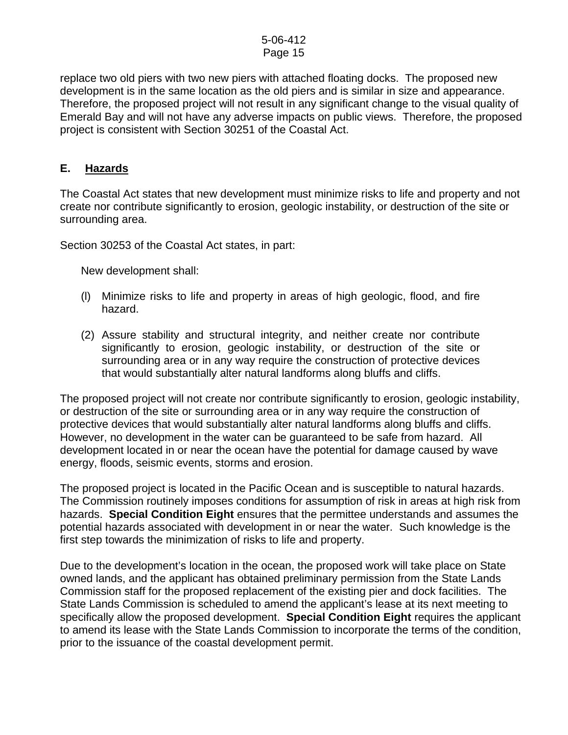replace two old piers with two new piers with attached floating docks. The proposed new development is in the same location as the old piers and is similar in size and appearance. Therefore, the proposed project will not result in any significant change to the visual quality of Emerald Bay and will not have any adverse impacts on public views. Therefore, the proposed project is consistent with Section 30251 of the Coastal Act.

## **E. Hazards**

The Coastal Act states that new development must minimize risks to life and property and not create nor contribute significantly to erosion, geologic instability, or destruction of the site or surrounding area.

Section 30253 of the Coastal Act states, in part:

New development shall:

- (l) Minimize risks to life and property in areas of high geologic, flood, and fire hazard.
- (2) Assure stability and structural integrity, and neither create nor contribute significantly to erosion, geologic instability, or destruction of the site or surrounding area or in any way require the construction of protective devices that would substantially alter natural landforms along bluffs and cliffs.

The proposed project will not create nor contribute significantly to erosion, geologic instability, or destruction of the site or surrounding area or in any way require the construction of protective devices that would substantially alter natural landforms along bluffs and cliffs. However, no development in the water can be guaranteed to be safe from hazard. All development located in or near the ocean have the potential for damage caused by wave energy, floods, seismic events, storms and erosion.

The proposed project is located in the Pacific Ocean and is susceptible to natural hazards. The Commission routinely imposes conditions for assumption of risk in areas at high risk from hazards. **Special Condition Eight** ensures that the permittee understands and assumes the potential hazards associated with development in or near the water. Such knowledge is the first step towards the minimization of risks to life and property.

Due to the development's location in the ocean, the proposed work will take place on State owned lands, and the applicant has obtained preliminary permission from the State Lands Commission staff for the proposed replacement of the existing pier and dock facilities. The State Lands Commission is scheduled to amend the applicant's lease at its next meeting to specifically allow the proposed development. **Special Condition Eight** requires the applicant to amend its lease with the State Lands Commission to incorporate the terms of the condition, prior to the issuance of the coastal development permit.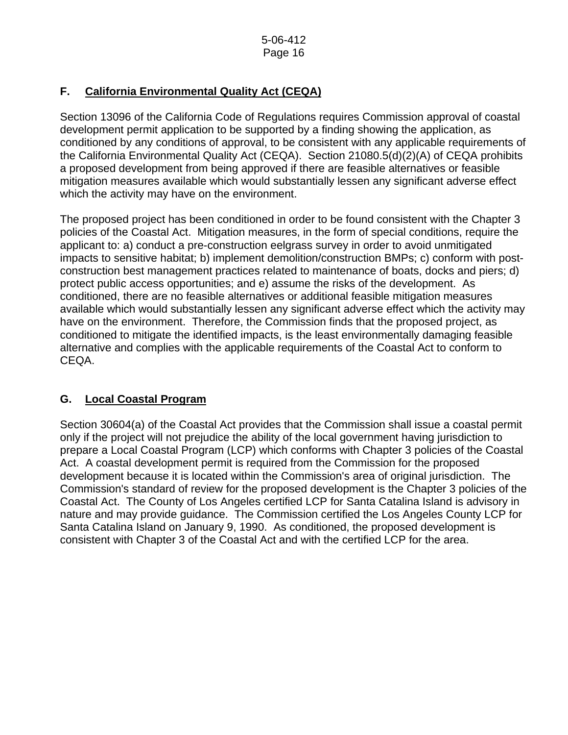## **F. California Environmental Quality Act (CEQA)**

Section 13096 of the California Code of Regulations requires Commission approval of coastal development permit application to be supported by a finding showing the application, as conditioned by any conditions of approval, to be consistent with any applicable requirements of the California Environmental Quality Act (CEQA). Section 21080.5(d)(2)(A) of CEQA prohibits a proposed development from being approved if there are feasible alternatives or feasible mitigation measures available which would substantially lessen any significant adverse effect which the activity may have on the environment.

The proposed project has been conditioned in order to be found consistent with the Chapter 3 policies of the Coastal Act. Mitigation measures, in the form of special conditions, require the applicant to: a) conduct a pre-construction eelgrass survey in order to avoid unmitigated impacts to sensitive habitat; b) implement demolition/construction BMPs; c) conform with postconstruction best management practices related to maintenance of boats, docks and piers; d) protect public access opportunities; and e) assume the risks of the development. As conditioned, there are no feasible alternatives or additional feasible mitigation measures available which would substantially lessen any significant adverse effect which the activity may have on the environment. Therefore, the Commission finds that the proposed project, as conditioned to mitigate the identified impacts, is the least environmentally damaging feasible alternative and complies with the applicable requirements of the Coastal Act to conform to CEQA.

## **G. Local Coastal Program**

Section 30604(a) of the Coastal Act provides that the Commission shall issue a coastal permit only if the project will not prejudice the ability of the local government having jurisdiction to prepare a Local Coastal Program (LCP) which conforms with Chapter 3 policies of the Coastal Act. A coastal development permit is required from the Commission for the proposed development because it is located within the Commission's area of original jurisdiction. The Commission's standard of review for the proposed development is the Chapter 3 policies of the Coastal Act. The County of Los Angeles certified LCP for Santa Catalina Island is advisory in nature and may provide guidance. The Commission certified the Los Angeles County LCP for Santa Catalina Island on January 9, 1990. As conditioned, the proposed development is consistent with Chapter 3 of the Coastal Act and with the certified LCP for the area.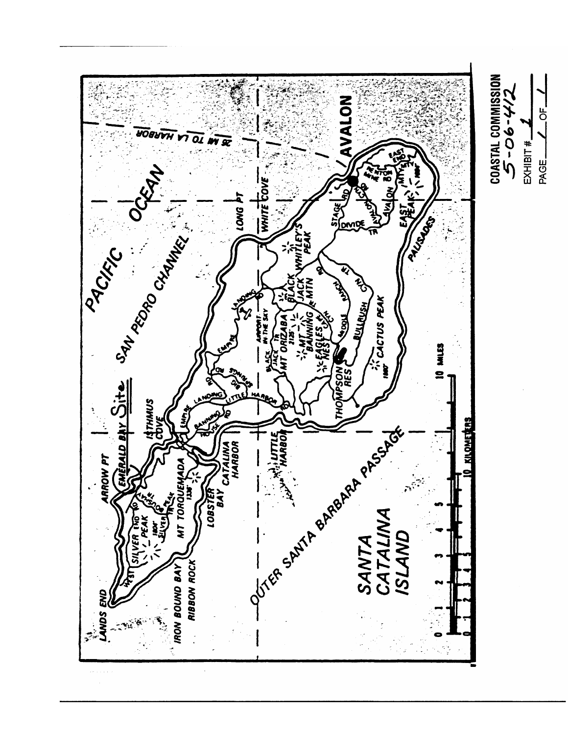

Ъ<br>О

PAGE\_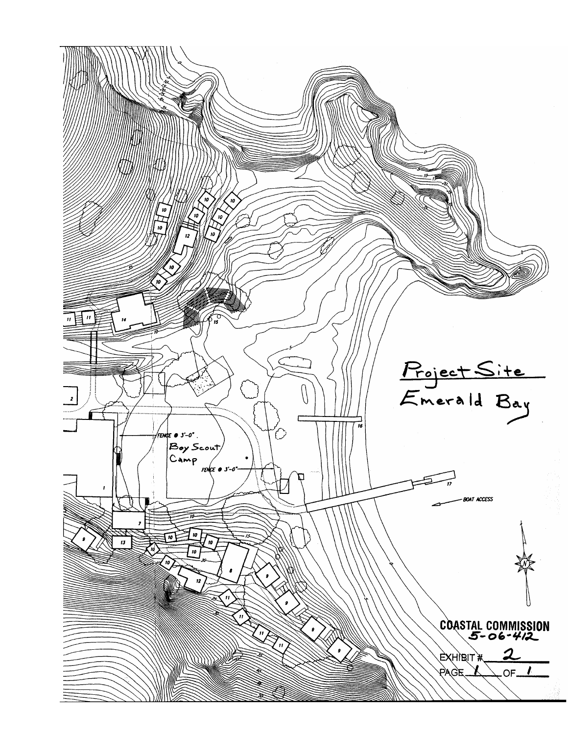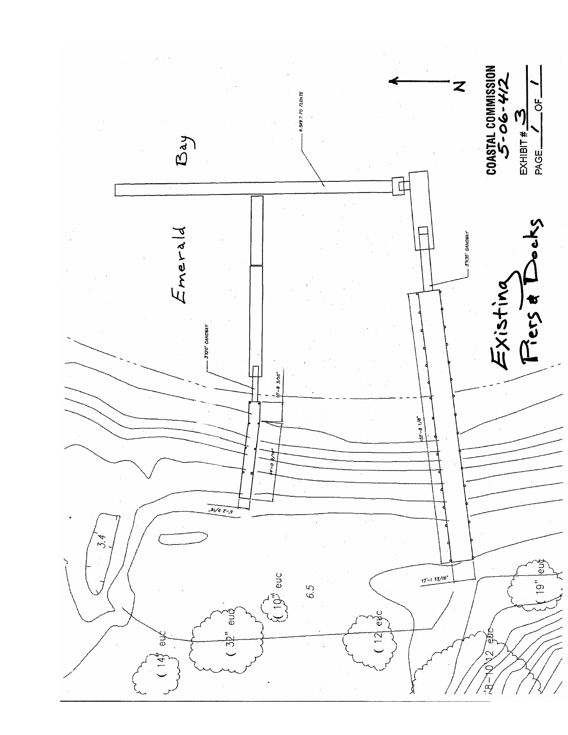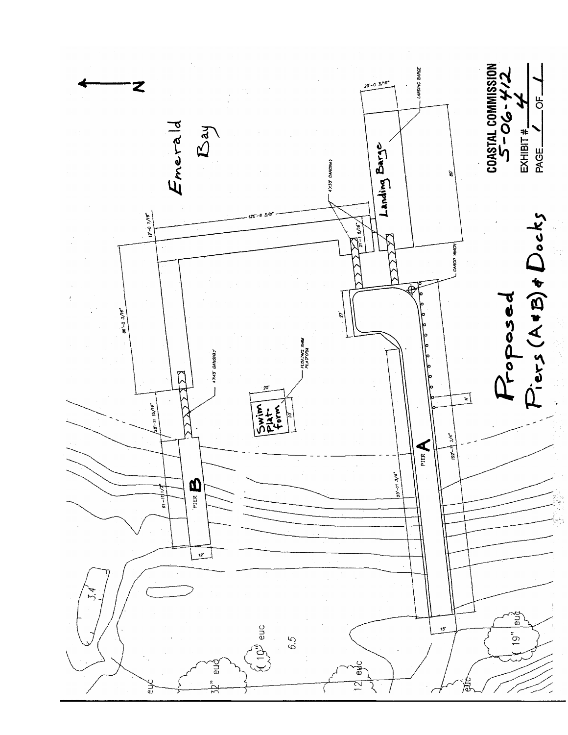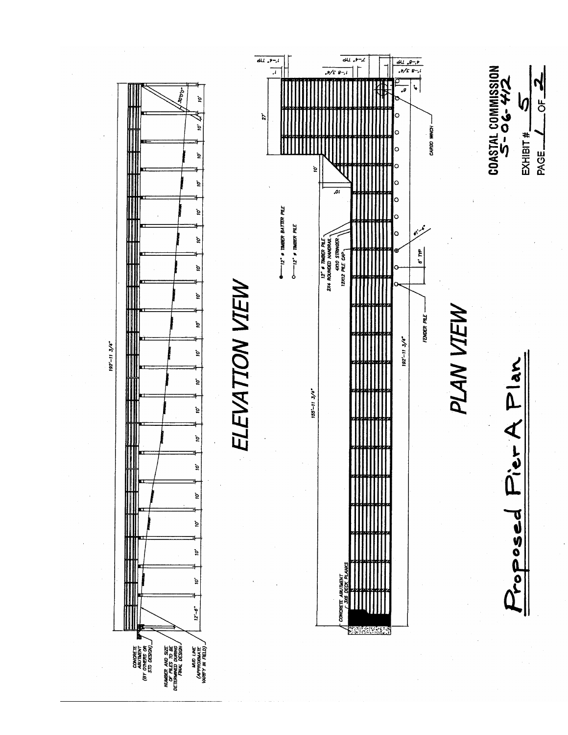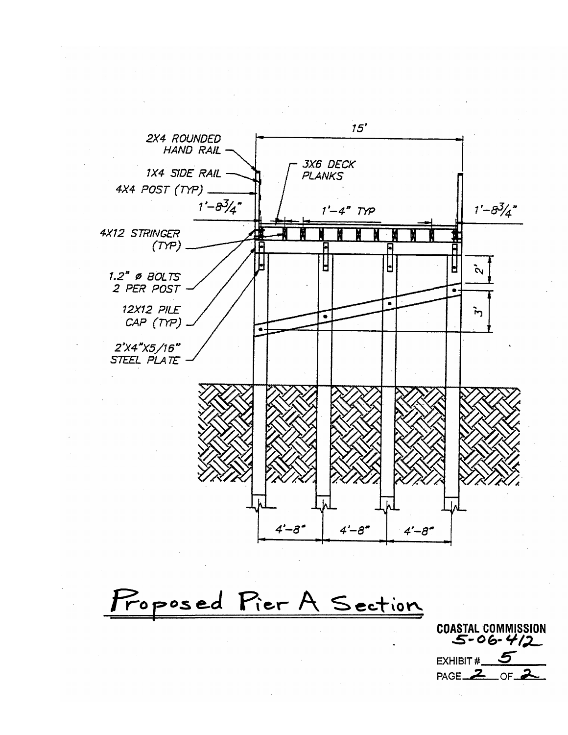

Proposed Pier A Section

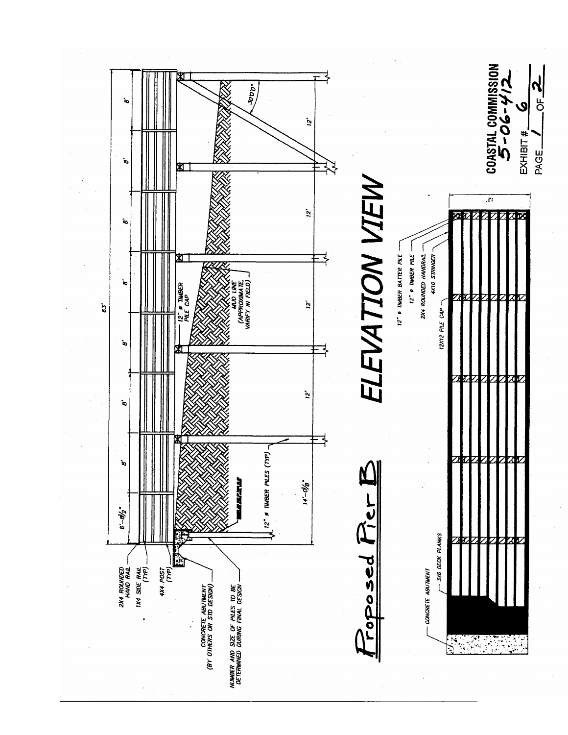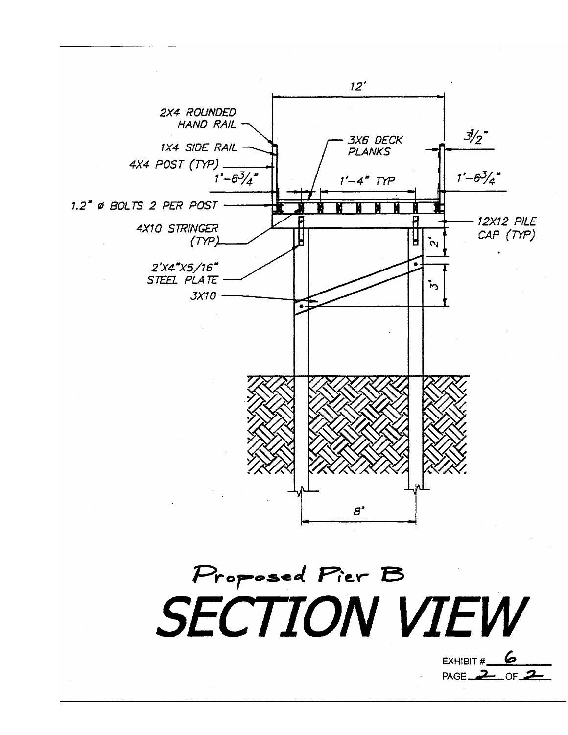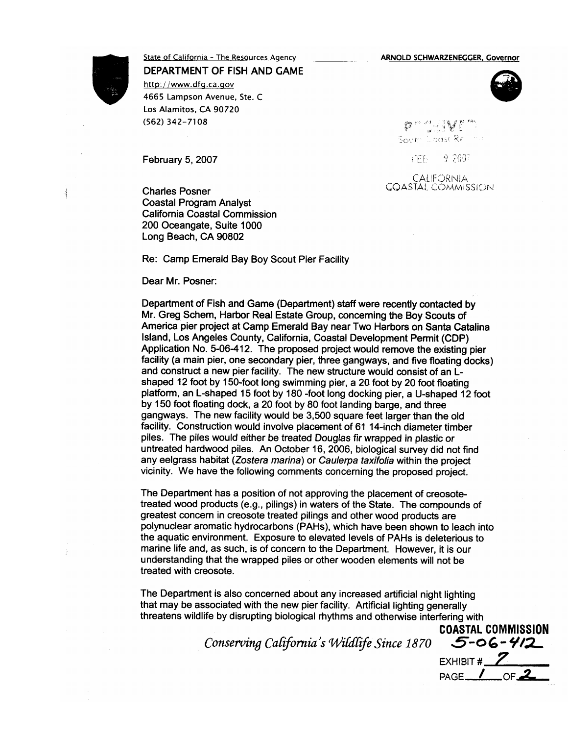**ARNOLD SCHWARZENEGGER, Governor** 

busing and South Coast Re

CALIFORNIA *COASTAL COMMISSION* 

**FEE** 

9.2007



4

# State of California - The Resources Agency

DEPARTMENT OF FISH AND GAME

http://www.dfg.ca.gov 4665 Lampson Avenue, Ste. C Los Alamitos, CA 90720 (562) 342-7108

February 5, 2007

**Charles Posner Coastal Program Analyst California Coastal Commission** 200 Oceangate, Suite 1000 Long Beach, CA 90802

Re: Camp Emerald Bay Boy Scout Pier Facility

Dear Mr. Posner:

Department of Fish and Game (Department) staff were recently contacted by Mr. Greg Schem, Harbor Real Estate Group, concerning the Boy Scouts of America pier project at Camp Emerald Bay near Two Harbors on Santa Catalina Island, Los Angeles County, California, Coastal Development Permit (CDP) Application No. 5-06-412. The proposed project would remove the existing pier facility (a main pier, one secondary pier, three gangways, and five floating docks) and construct a new pier facility. The new structure would consist of an Lshaped 12 foot by 150-foot long swimming pier, a 20 foot by 20 foot floating platform, an L-shaped 15 foot by 180 -foot long docking pier, a U-shaped 12 foot by 150 foot floating dock, a 20 foot by 80 foot landing barge, and three gangways. The new facility would be 3,500 square feet larger than the old facility. Construction would involve placement of 61 14-inch diameter timber piles. The piles would either be treated Douglas fir wrapped in plastic or untreated hardwood piles. An October 16, 2006, biological survey did not find any eelgrass habitat (Zostera marina) or Caulerpa taxifolia within the project vicinity. We have the following comments concerning the proposed project.

The Department has a position of not approving the placement of creosotetreated wood products (e.g., pilings) in waters of the State. The compounds of greatest concern in creosote treated pilings and other wood products are polynuclear aromatic hydrocarbons (PAHs), which have been shown to leach into the aquatic environment. Exposure to elevated levels of PAHs is deleterious to marine life and, as such, is of concern to the Department. However, it is our understanding that the wrapped piles or other wooden elements will not be treated with creosote.

The Department is also concerned about any increased artificial night lighting that may be associated with the new pier facility. Artificial lighting generally threatens wildlife by disrupting biological rhythms and otherwise interfering with

Conserving California's Wildlife Since 1870

**COASTAL COMMISSION**  $5 - 06 - 412$ EXHIBIT #  $Z$ PAGE<sub>1</sub>